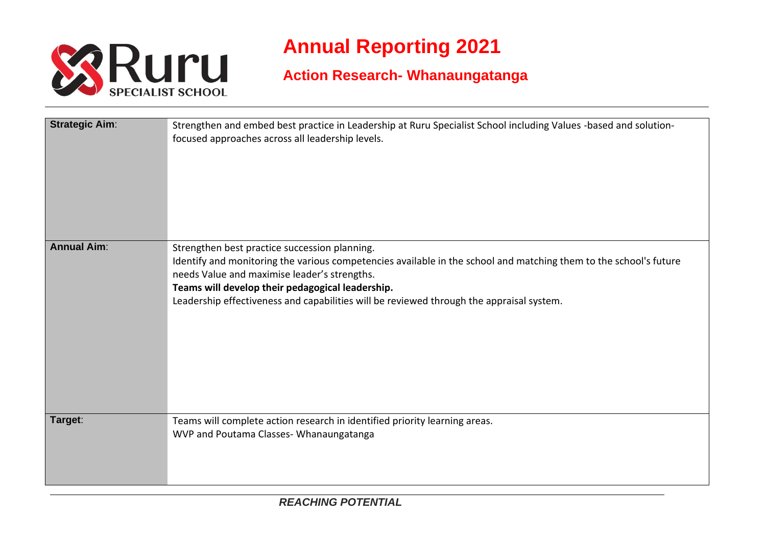

## **Annual Reporting 2021**

## **Action Research- Whanaungatanga**

| <b>Strategic Aim:</b> | Strengthen and embed best practice in Leadership at Ruru Specialist School including Values -based and solution-<br>focused approaches across all leadership levels.                                                                                                                                                                                               |
|-----------------------|--------------------------------------------------------------------------------------------------------------------------------------------------------------------------------------------------------------------------------------------------------------------------------------------------------------------------------------------------------------------|
| <b>Annual Aim:</b>    | Strengthen best practice succession planning.<br>Identify and monitoring the various competencies available in the school and matching them to the school's future<br>needs Value and maximise leader's strengths.<br>Teams will develop their pedagogical leadership.<br>Leadership effectiveness and capabilities will be reviewed through the appraisal system. |
| Target:               | Teams will complete action research in identified priority learning areas.<br>WVP and Poutama Classes-Whanaungatanga                                                                                                                                                                                                                                               |